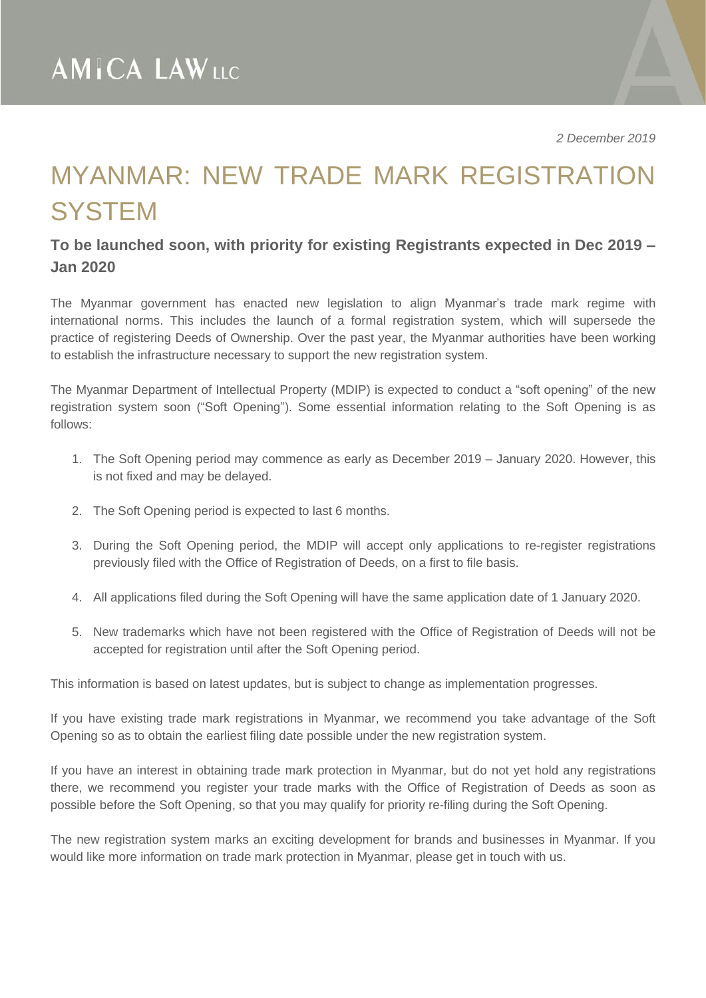## MYANMAR: NEW TRADE MARK REGISTRATION **SYSTEM**

## **To be launched soon, with priority for existing Registrants expected in Dec 2019 – Jan 2020**

The Myanmar government has enacted new legislation to align Myanmar's trade mark regime with international norms. This includes the launch of a formal registration system, which will supersede the practice of registering Deeds of Ownership. Over the past year, the Myanmar authorities have been working to establish the infrastructure necessary to support the new registration system.

The Myanmar Department of Intellectual Property (MDIP) is expected to conduct a "soft opening" of the new registration system soon ("Soft Opening"). Some essential information relating to the Soft Opening is as follows:

- 1. The Soft Opening period may commence as early as December 2019 January 2020. However, this is not fixed and may be delayed.
- 2. The Soft Opening period is expected to last 6 months.
- 3. During the Soft Opening period, the MDIP will accept only applications to re-register registrations previously filed with the Office of Registration of Deeds, on a first to file basis.
- 4. All applications filed during the Soft Opening will have the same application date of 1 January 2020.
- 5. New trademarks which have not been registered with the Office of Registration of Deeds will not be accepted for registration until after the Soft Opening period.

This information is based on latest updates, but is subject to change as implementation progresses.

If you have existing trade mark registrations in Myanmar, we recommend you take advantage of the Soft Opening so as to obtain the earliest filing date possible under the new registration system.

If you have an interest in obtaining trade mark protection in Myanmar, but do not yet hold any registrations there, we recommend you register your trade marks with the Office of Registration of Deeds as soon as possible before the Soft Opening, so that you may qualify for priority re-filing during the Soft Opening.

The new registration system marks an exciting development for brands and businesses in Myanmar. If you would like more information on trade mark protection in Myanmar, please get in touch with us.